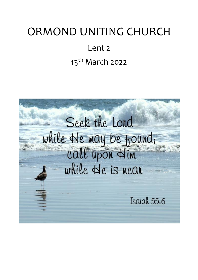# ORMOND UNITING CHURCH

# Lent 2 13<sup>th</sup> March 2022

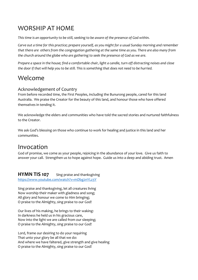# WORSHIP AT HOME

*This time is an opportunity to be still, seeking to be aware of the presence of God within.*

*Carve out a time for this practice; prepare yourself, as you might for a usual Sunday morning and remember that there are others from the congregation gathering at the same time as you. There are also many from the church around the globe who are gathering to seek the presence of God as we are.*

*Prepare a space in the house; find a comfortable chair, light a candle, turn off distracting noises and close the door if that will help you to be still. This is something that does not need to be hurried.*

## Welcome

#### Acknowledgement of Country

From before recorded time, the First Peoples, including the Bunurong people, cared for this land Australia. We praise the Creator for the beauty of this land, and honour those who have offered themselves in tending it.

We acknowledge the elders and communities who have told the sacred stories and nurtured faithfulness to the Creator.

We ask God's blessing on those who continue to work for healing and justice in this land and her communities.

## Invocation

God of promise, we come as your people, rejoicing in the abundance of your love. Give us faith to answer your call. Strengthen us to hope against hope. Guide us into a deep and abiding trust. Amen

# **HYMN TIS 107** Sing praise and thanksgiving

<https://www.youtube.com/watch?v=mDbg2nYLz3Y>

Sing praise and thanksgiving, let all creatures living Now worship their maker with gladness and song; All glory and honour we come to Him bringing; O praise to the Almighty, sing praise to our God!

Our lives of his making, he brings to their waking: In darkness he held us in his gracious care, Now into the light we are called from our sleeping; O praise to the Almighty, sing praise to our God!

Lord, frame our desiring to do your requiring That unto your glory be all that we do: And where we have faltered, give strength and give healing O praise to the Almighty, sing praise to our God!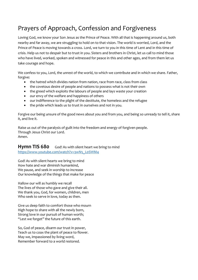# Prayers of Approach, Confession and Forgiveness

Loving God, we know your Son Jesus as the Prince of Peace. With all that is happening around us, both nearby and far away, we are struggling to hold on to that vision. The world is worried, Lord, and the Prince of Peace is moving towards a cross. Lord, we turn to you in this time of Lent and in this time of crisis. Help us not to despair but to trust in you. Sisters and brothers in Christ, let us call to mind those who have lived, worked, spoken and witnessed for peace in this and other ages, and from them let us take courage and hope.

We confess to you, Lord, the unrest of the world, to which we contribute and in which we share. Father, forgive:

- the hatred which divides nation from nation, race from race, class from class
- the covetous desire of people and nations to possess what is not their own
- the greed which exploits the labours of people and lays waste your creation
- our envy of the welfare and happiness of others
- our indifference to the plight of the destitute, the homeless and the refugee
- the pride which leads us to trust in ourselves and not in you.

Forgive our being unsure of the good news about you and from you, and being so unready to tell it, share it, and live it.

Raise us out of the paralysis of guilt into the freedom and energy of forgiven people. Through Jesus Christ our Lord. Amen.

#### **Hymn TIS 680** God! As with silent heart we bring to mind [https://www.youtube.com/watch?v=3wN5\\_L0SWM4](https://www.youtube.com/watch?v=3wN5_L0SWM4)

God! As with silent hearts we bring to mind How hate and war diminish humankind, We pause, and seek in worship to increase Our knowledge of the things that make for peace

Hallow our will as humbly we recall The lives of those who gave and give their all. We thank you, God, for women, children, men Who seek to serve in love, today as then.

Give us deep faith to comfort those who mourn High hope to share with all the newly born, Strong love in our pursuit of human worth; "Lest we forget" the future of this earth.

So, God of peace, disarm our trust in power, Teach us to coax the plant of peace to flower. May we, impassioned by living word, Remember forward to a world restored.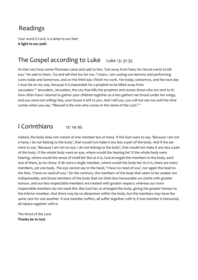# Readings

Your word O Lord, is a lamp to our feet **A light to our path**

## The Gospel according to Luke Luke 13: 31-35

At that very hour some Pharisees came and said to him, 'Get away from here, for Herod wants to kill you.' He said to them, 'Go and tell that fox for me, "Listen, I am casting out demons and performing cures today and tomorrow, and on the third day I finish my work. Yet today, tomorrow, and the next day I must be on my way, because it is impossible for a prophet to be killed away from Jerusalem." Jerusalem, Jerusalem, the city that kills the prophets and stones those who are sent to it! How often have I desired to gather your children together as a hen gathers her brood under her wings, and you were not willing! See, your house is left to you. And I tell you, you will not see me until the time comes when you say, "Blessed is the one who comes in the name of the Lord." '

## I Corinthians 12: 14-26.

Indeed, the body does not consist of one member but of many. If the foot were to say, 'Because I am not a hand, I do not belong to the body', that would not make it any less a part of the body. And if the ear were to say, 'Because I am not an eye, I do not belong to the body', that would not make it any less a part of the body. If the whole body were an eye, where would the hearing be? If the whole body were hearing, where would the sense of smell be? But as it is, God arranged the members in the body, each one of them, as he chose. If all were a single member, where would the body be? As it is, there are many members, yet one body. The eye cannot say to the hand, 'I have no need of you', nor again the head to the feet, 'I have no need of you.' On the contrary, the members of the body that seem to be weaker are indispensable, and those members of the body that we think less honourable we clothe with greater honour, and our less respectable members are treated with greater respect; whereas our more respectable members do not need this. But God has so arranged the body, giving the greater honour to the inferior member, that there may be no dissension within the body, but the members may have the same care for one another. If one member suffers, all suffer together with it; if one member is honoured, all rejoice together with it.

The Word of the Lord **Thanks be to God**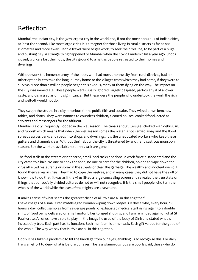# Reflection

Mumbai, the Indian city, is the 37th largest city in the world and, if not the most populous of Indian cities, at least the second. Like most large cities it is a magnet for those living in rural districts as far as 100 kilometres and more away. People travel there to get work, to seek their fortune, to be part of a huge and bustling city. A strange thing happened to Mumbai when the Covid Pandemic hit a year ago. Shops closed, workers lost their jobs, the city ground to a halt as people retreated to their homes and dwellings.

Without work the immense army of the poor, who had moved to the city from rural districts, had no other option but to take the long journey home to the villages from which they had come, if they were to survive. More than a million people began this exodus, many of them dying on the way. The impact on the city was immediate. These people were usually ignored, largely despised, particularly if of a lower caste, and dismissed as of no significance. But these were the people who undertook the work the rich and well-off would not do.

They swept the streets in a city notorious for its public filth and squalor. They wiped down benches, tables, and chairs. They were nannies to countless children, cleaned houses, cooked food, acted as servants and messengers for the affluent.

Mumbai is a city frequently flooded in the wet season. The canals and gutters get choked with debris, silt and rubbish which means that when the wet season comes the water is not carried away and the flood spreads across parks and roads into shops and dwellings. It is the uneducated workers who keep these gutters and channels clear. Without their labour the city is threatened by another disastrous monsoon season. But the workers available to do this task are gone.

The food stalls in the streets disappeared, small local tasks not done, a work force disappeared and the city came to a halt. No one to cook the food, no one to care for the children, no one to wipe down the virus afflicted restaurants or spray in the streets or clear the garbage. The wealthy and indolent well-off found themselves in crisis. They had to cope themselves, and in many cases they did not have the skill or know-how to do that. It was as if the virus lifted a large concealing screen and revealed the true state of things that our socially divided cultures do not or will not recognise. It is the small people who turn the wheels of the world while the eyes of the mighty are elsewhere.

It makes sense of what seems the greatest cliche of all. 'We are all in this together'.

I have images of a small tired middle-aged woman wiping down ledges. Of those who, every hour, 24 hours a day, collect samples from sewerage ponds, of exhausted medical staff rising again to a double shift, of food being delivered on small motor bikes to aged shut-ins, and I am reminded again of what St Paul wrote. All of us have a role to play. In the image he used of the body of Christ he stated what is inescapably true. Each part has its function. Each member his or her task. Each gift valued for the good of the whole. The way we say that is, 'We are all in this together.

Oddly it has taken a pandemic to lift the bandage from our eyes, enabling us to recognise this. For daily life is an effort to deny what is before our eyes. The less glamorous jobs are poorly paid, those who do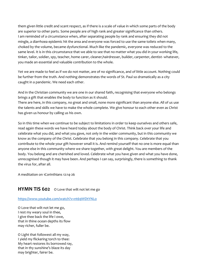them given little credit and scant respect, as if there is a scale of value in which some parts of the body are superior to other parts. Some people are of high rank and greater significance than others. I am reminded of a circumstance when, after separating people by rank and ensuring they did not mingle, a diarrhoea epidemic hit the area and everyone was forced to use the same toilets when many, choked by the volume, became dysfunctional. Much like the pandemic, everyone was reduced to the same level. It is in this circumstance that we able to see that no matter what you did in your working life, tinker, tailor, soldier, spy, teacher, home carer, cleaner,hairdresser, builder, carpenter, dentist- whatever, you made an essential and valuable contribution to the whole.

Yet we are made to feel as if we do not matter, are of no significance, and of little account. Nothing could be further from the truth. And nothing demonstrates the words of St. Paul so dramatically as a city caught in a pandemic. We need each other.

And in the Christian community we are one in our shared faith, recognising that everyone who belongs brings a gift that enables the body to function as it should.

There are here, in this company, no great and small, none more significant than anyone else. All of us use the talents and skills we have to make the whole complete. We give honour to each other even as Christ has given us honour by calling us his own.

So in this time when we continue to be subject to limitations in order to keep ourselves and others safe, read again these words we have heard today about the body of Christ. Think back over your life and celebrate what you did, and what you gave, not only in the wider community, but in this community we know as the company of the Christ. Celebrate that you belong in this company. Celebrate that you contribute to the whole your gift however small it is. And remind yourself that no one is more equal than anyone else in this community where we share together, with great delight. You are members of the body. You belong and are cherished and loved. Celebrate what you have given and what you have done, unrecognised though it may have been. And perhaps I can say, surprisingly, there is something to thank the virus for, after all.

A meditation on 1Corinthians 12:14-26

#### **HYMN TIS 602** O Love that wilt not let me go

#### <https://www.youtube.com/watch?v=nt69WDtYNLo>

O Love that wilt not let me go, I rest my weary soul in thee, I give thee back the life I owe, that in thine ocean depths its flow may richer, fuller be.

O Light that followest all my way, I yield my flickering torch to thee: My heart restores its borrowed ray, that in thy sunshine's blaze its day may brighter, fairer be.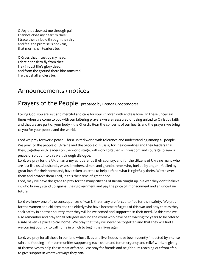O Joy that sleekest me through pain, I cannot close my heart to thee: I trace the rainbow through the rain, and feel the promise is not vain, that morn shall tearless be.

O Cross that liftest up my head, I dare not ask to fly from thee: I lay in dust life's glory dead, and from the ground there blossoms red life that shall endless be.

## Announcements / notices

## Prayers of the People prepared by Brenda Grootendorst

Loving God, you are just and merciful and care for your children with endless love. In these uncertain times when we come to you with our faltering prayers we are reassured of being united to Christ by faith and that we are part of your body – the Church. Hear the concerns of our hearts and the prayers we bring to you for your people and the world.

Lord we pray for world peace – for a united world with tolerance and understanding among all people. We pray for the people of Ukraine and the people of Russia; for their countries and their leaders that they, together with leaders on the world stage, will work together with wisdom and courage to seek a peaceful solution to this war, through dialogue.

Lord, we pray for the Ukranian army as it defends their country, and for the citizens of Ukraine many who are just like us…husbands, wives, brothers, sisters and grandparents who, fuelled by anger – fuelled by great love for their homeland, have taken up arms to help defend what is rightfully theirs. Watch over them and protect them Lord, in this their time of great need.

Lord, may we have the grace to pray for the many citizens of Russia caught up in a war they don't believe in, who bravely stand up against their government and pay the price of imprisonment and an uncertain future.

Lord we know one of the consequences of war is that many are forced to flee for their safety. We pray for the women and children and the elderly who have become refugees of this war and pray that as they seek safety in another country, that they will be welcomed and supported in their need. At this time we also remember and pray for all refugees around the world who have been waiting for years to be offered a safe haven - a place to call home. We pray that they will never be forgotten and that they will find a welcoming country to call home in which to begin their lives again.

Lord, we pray for all those in our land whose lives and livelihoods have been recently impacted by intense rain and flooding - for communities supporting each other and for emergency and relief workers giving of themselves to help those most affected. We pray for friends and neighbours reaching out from afar, to give support in whatever ways they can.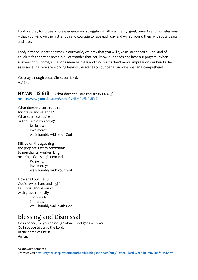Lord we pray for those who experience and struggle with illness, frailty, grief, poverty and homelessness – that you will give them strength and courage to face each day and will surround them with your peace and love.

Lord, in these unsettled times in our world, we pray that you will give us strong faith. The kind of childlike faith that believes in quiet wonder that You know our needs and hear our prayers. When answers don't come, situations seem helpless and mountains don't move, impress on our hearts the assurance that you are working behind the scenes on our behalf in ways we can't comprehend.

We pray through Jesus Christ our Lord. AMEN.

#### **HYMN TIS 618** What does the Lord require (Vs 1, 4, 5) <https://www.youtube.com/watch?v=BMPL6bRUFzE>

What does the Lord require for praise and offering? What sacrifice desire or tribute bid you bring? Do justly; love mercy; walk humbly with your God

Still down the ages ring the prophet's stern commands to merchants, worker, king he brings God's high demands Do justly; love mercy; walk humbly with your God

How shall our life fulfil God's law so hard and high? Let Christ endue our will with grace to fortify Then justly, in mercy. we'll humbly walk with God

## Blessing and Dismissal

Go in peace, for you do not go alone, God goes with you. Go in peace to serve the Lord. In the name of Christ **Amen.**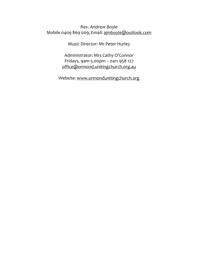#### Rev. Andrew Boyle Mobile 0409 869 009; Email: [ajmboyle@outlook.com](mailto:ajmboyle@outlook.com)

Music Director: Mr Peter Hurley

Administrator: Mrs Cathy O'Connor Fridays, 9am-5.00pm – 0411 958 127 [office@ormond.unitingchurch.org.au](mailto:office@ormond.unitingchurch.org.au)

Website: [www.ormondunitingchurch.org](http://www.ormondunitingchurch.org/)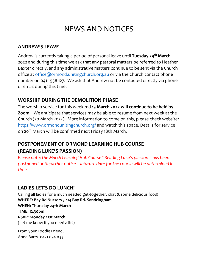# NEWS AND NOTICES

#### **ANDREW'S LEAVE**

Andrew is currently taking a period of personal leave until **Tuesday 29th March 2022** and during this time we ask that any pastoral matters be referred to Heather Baxter directly, and any administrative matters continue to be sent via the Church office at [office@ormond.unitingchurch.org.au](mailto:office@ormond.unitingchurch.org.au) or via the Church contact phone number on 0411 958 127. We ask that Andrew not be contacted directly via phone or email during this time.

### **WORSHIP DURING THE DEMOLITION PHASE**

The worship service for this weekend **13 March 2022 will continue to be held by Zoom.** We anticipate that services may be able to resume from next week at the Church (20 March 2022). More information to come on this, please check website: <https://www.ormondunitingchurch.org/> and watch this space. Details for service on 20<sup>th</sup> March will be confirmed next Friday 18th March.

### **POSTPONEMENT OF ORMOND LEARNING HUB COURSE (READING LUKE'S PASSION)**

*Please note: the March Learning Hub Course "Reading Luke's passion" has been postponed until further notice – a future date for the course will be determined in time.* 

### **LADIES LET'S DO LUNCH!**

Calling all ladies for a much needed get-together, chat & some delicious food! **WHERE: Bay Rd Nursery , 114 Bay Rd. Sandringham WHEN: Thursday 24th March TIME: 12.30pm RSVP: Monday 21st March**  (Let me know if you need a lift)

From your Foodie Friend, Anne Barry 0421 074 033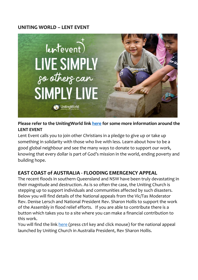#### **UNITING WORLD – LENT EVENT**



#### **Please refer to the UnitingWorld link [here](https://unitingworld.org.au/two-ways-to-learn-and-grow-in-2022/) for some more information around the LENT EVENT**

Lent Event calls you to join other Christians in a pledge to give up or take up something in solidarity with those who live with less. Learn about how to be a good global neighbour and see the many ways to donate to support our work, knowing that every dollar is part of God's mission in the world, ending poverty and building hope.

### **EAST COAST of AUSTRALIA - FLOODING EMERGENCY APPEAL**

The recent floods in southern Queensland and NSW have been truly devastating in their magnitude and destruction. As is so often the case, the Uniting Church is stepping up to support individuals and communities affected by such disasters. Below you will find details of the National appeals from the Vic/Tas Moderator Rev. Denise Lersch and National President Rev. Sharon Hollis to support the work of the Assembly in flood relief efforts. If you are able to contribute there is a button which takes you to a site where you can make a financial contribution to this work.

You will find the link [here](https://uniting.church/east-coast-flooding-emergency-appeal/) (press ctrl key and click mouse) for the national appeal launched by Uniting Church in Australia President, Rev Sharon Hollis.